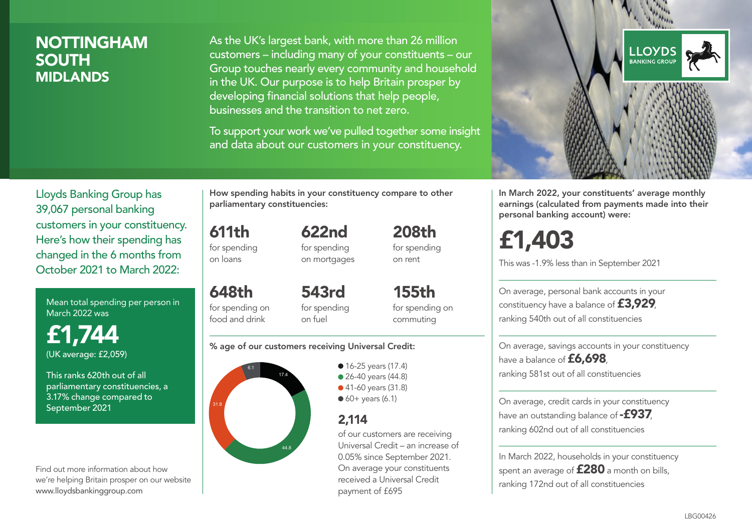### NOTTINGHAM SOUTH MIDLANDS

As the UK's largest bank, with more than 26 million customers – including many of your constituents – our Group touches nearly every community and household in the UK. Our purpose is to help Britain prosper by developing financial solutions that help people, businesses and the transition to net zero.

To support your work we've pulled together some insight and data about our customers in your constituency.



Mean total spending per person in March 2022 was

£1,744 (UK average: £2,059)

This ranks 620th out of all parliamentary constituencies, a 3.17% change compared to September 2021

Find out more information about how we're helping Britain prosper on our website www.lloydsbankinggroup.com

How spending habits in your constituency compare to other parliamentary constituencies:

622nd

611th for spending on loans

for spending on mortgages

648th for spending on food and drink 543rd for spending on fuel

155th for spending on commuting

208th for spending on rent

#### % age of our customers receiving Universal Credit:



• 16-25 years (17.4) • 26-40 years (44.8) ● 41-60 years (31.8)  $60+$  years (6.1)

### 2,114

of our customers are receiving Universal Credit – an increase of 0.05% since September 2021. On average your constituents received a Universal Credit payment of £695



In March 2022, your constituents' average monthly earnings (calculated from payments made into their personal banking account) were:

# £1,403

This was -1.9% less than in September 2021

On average, personal bank accounts in your constituency have a balance of £3,929, ranking 540th out of all constituencies

On average, savings accounts in your constituency have a balance of £6,698, ranking 581st out of all constituencies

On average, credit cards in your constituency have an outstanding balance of  $-$ £937, ranking 602nd out of all constituencies

In March 2022, households in your constituency spent an average of **£280** a month on bills, ranking 172nd out of all constituencies